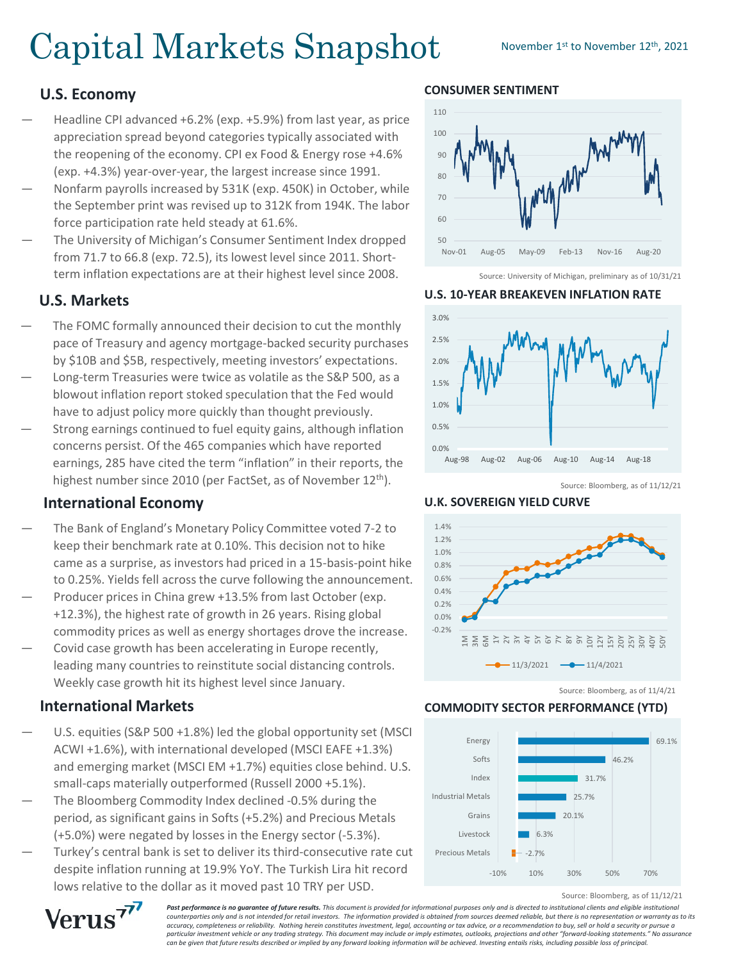# Capital Markets Snapshot November 1st to November 12th, 2021

## **U.S. Economy**

- Headline CPI advanced +6.2% (exp. +5.9%) from last year, as price appreciation spread beyond categories typically associated with the reopening of the economy. CPI ex Food & Energy rose +4.6% (exp. +4.3%) year-over-year, the largest increase since 1991.
- Nonfarm payrolls increased by 531K (exp. 450K) in October, while the September print was revised up to 312K from 194K. The labor force participation rate held steady at 61.6%.
- The University of Michigan's Consumer Sentiment Index dropped from 71.7 to 66.8 (exp. 72.5), its lowest level since 2011. Shortterm inflation expectations are at their highest level since 2008.

## **U.S. Markets**

- The FOMC formally announced their decision to cut the monthly pace of Treasury and agency mortgage-backed security purchases by \$10B and \$5B, respectively, meeting investors' expectations.
- Long-term Treasuries were twice as volatile as the S&P 500, as a blowout inflation report stoked speculation that the Fed would have to adjust policy more quickly than thought previously.
- Strong earnings continued to fuel equity gains, although inflation concerns persist. Of the 465 companies which have reported earnings, 285 have cited the term "inflation" in their reports, the highest number since 2010 (per FactSet, as of November 12<sup>th</sup>).

## **International Economy**

- The Bank of England's Monetary Policy Committee voted 7-2 to keep their benchmark rate at 0.10%. This decision not to hike came as a surprise, as investors had priced in a 15-basis-point hike to 0.25%. Yields fell across the curve following the announcement.
- Producer prices in China grew +13.5% from last October (exp. +12.3%), the highest rate of growth in 26 years. Rising global commodity prices as well as energy shortages drove the increase.
- Covid case growth has been accelerating in Europe recently, leading many countries to reinstitute social distancing controls. Weekly case growth hit its highest level since January.

## **International Markets**

- U.S. equities (S&P 500 +1.8%) led the global opportunity set (MSCI ACWI +1.6%), with international developed (MSCI EAFE +1.3%) and emerging market (MSCI EM +1.7%) equities close behind. U.S. small-caps materially outperformed (Russell 2000 +5.1%).
- The Bloomberg Commodity Index declined -0.5% during the period, as significant gains in Softs (+5.2%) and Precious Metals (+5.0%) were negated by losses in the Energy sector (-5.3%).
- Turkey's central bank is set to deliver its third-consecutive rate cut despite inflation running at 19.9% YoY. The Turkish Lira hit record lows relative to the dollar as it moved past 10 TRY per USD.

#### **CONSUMER SENTIMENT**



Source: University of Michigan, preliminary as of 10/31/21

#### **U.S. 10-YEAR BREAKEVEN INFLATION RATE**



Source: Bloomberg, as of 11/12/21

**U.K. SOVEREIGN YIELD CURVE**



Source: Bloomberg, as of 11/4/21

#### **COMMODITY SECTOR PERFORMANCE (YTD)**



Source: Bloomberg, as of 11/12/21



**Past performance is no quarantee of future results.** This document is provided for informational purposes only and is directed to institutional clients and eligible institutional *counterparties only and is not intended for retail investors. The information provided is obtained from sources deemed reliable, but there is no representation or warranty as to its accuracy, completeness or reliability. Nothing herein constitutes investment, legal, accounting or tax advice, or a recommendation to buy, sell or hold a security or pursue a particular investment vehicle or any trading strategy. This document may include or imply estimates, outlooks, projections and other "forward-looking statements." No assurance can be given that future results described or implied by any forward looking information will be achieved. Investing entails risks, including possible loss of principal.*